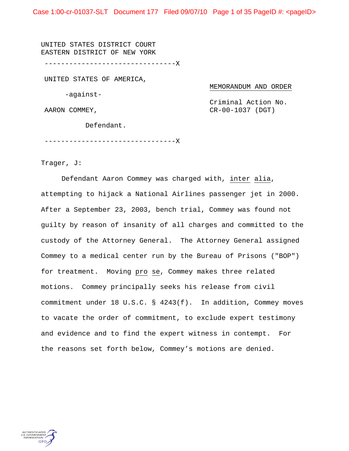Case 1:00-cr-01037-SLT Document 177 Filed 09/07/10 Page 1 of 35 PageID #: <pageID>

UNITED STATES DISTRICT COURT EASTERN DISTRICT OF NEW YORK --------------------------------X UNITED STATES OF AMERICA, -against-AARON COMMEY,

MEMORANDUM AND ORDER Criminal Action No.

CR-00-1037 (DGT)

Defendant.

--------------------------------X

Trager, J:

 Defendant Aaron Commey was charged with, inter alia, attempting to hijack a National Airlines passenger jet in 2000. After a September 23, 2003, bench trial, Commey was found not guilty by reason of insanity of all charges and committed to the custody of the Attorney General. The Attorney General assigned Commey to a medical center run by the Bureau of Prisons ("BOP") for treatment. Moving pro se, Commey makes three related motions. Commey principally seeks his release from civil commitment under 18 U.S.C. § 4243(f). In addition, Commey moves to vacate the order of commitment, to exclude expert testimony and evidence and to find the expert witness in contempt. For the reasons set forth below, Commey's motions are denied.

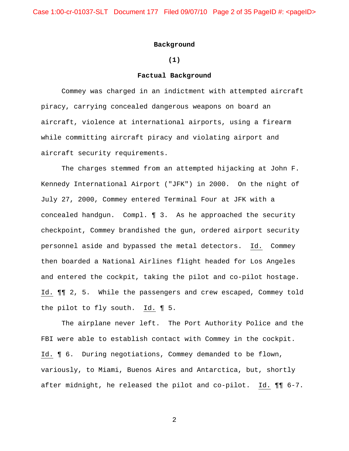Case 1:00-cr-01037-SLT Document 177 Filed 09/07/10 Page 2 of 35 PageID #: <pageID>

### **Background**

## **(1)**

### **Factual Background**

 Commey was charged in an indictment with attempted aircraft piracy, carrying concealed dangerous weapons on board an aircraft, violence at international airports, using a firearm while committing aircraft piracy and violating airport and aircraft security requirements.

The charges stemmed from an attempted hijacking at John F. Kennedy International Airport ("JFK") in 2000. On the night of July 27, 2000, Commey entered Terminal Four at JFK with a concealed handgun. Compl. ¶ 3. As he approached the security checkpoint, Commey brandished the gun, ordered airport security personnel aside and bypassed the metal detectors. Id. Commey then boarded a National Airlines flight headed for Los Angeles and entered the cockpit, taking the pilot and co-pilot hostage. Id. ¶¶ 2, 5. While the passengers and crew escaped, Commey told the pilot to fly south. Id. ¶ 5.

 The airplane never left. The Port Authority Police and the FBI were able to establish contact with Commey in the cockpit. Id. ¶ 6. During negotiations, Commey demanded to be flown, variously, to Miami, Buenos Aires and Antarctica, but, shortly after midnight, he released the pilot and co-pilot. Id. ¶¶ 6-7.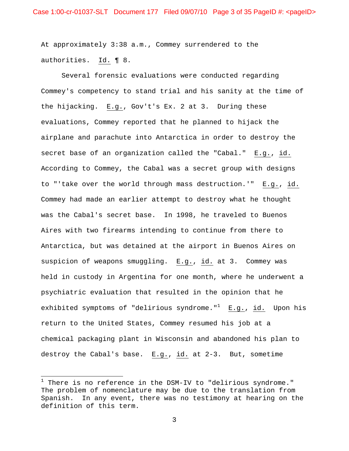At approximately 3:38 a.m., Commey surrendered to the authorities. Id. ¶ 8.

 Several forensic evaluations were conducted regarding Commey's competency to stand trial and his sanity at the time of the hijacking. E.g., Gov't's Ex. 2 at 3. During these evaluations, Commey reported that he planned to hijack the airplane and parachute into Antarctica in order to destroy the secret base of an organization called the "Cabal." E.g., id. According to Commey, the Cabal was a secret group with designs to "'take over the world through mass destruction.'" E.g., id. Commey had made an earlier attempt to destroy what he thought was the Cabal's secret base. In 1998, he traveled to Buenos Aires with two firearms intending to continue from there to Antarctica, but was detained at the airport in Buenos Aires on suspicion of weapons smuggling. E.g., id. at 3. Commey was held in custody in Argentina for one month, where he underwent a psychiatric evaluation that resulted in the opinion that he exhibited symptoms of "delirious syndrome."<sup>1</sup> E.g., id. Upon his return to the United States, Commey resumed his job at a chemical packaging plant in Wisconsin and abandoned his plan to destroy the Cabal's base. E.g., id. at 2-3. But, sometime

 $\overline{a}$ 

 $^1$  There is no reference in the DSM-IV to "delirious syndrome." The problem of nomenclature may be due to the translation from Spanish. In any event, there was no testimony at hearing on the definition of this term.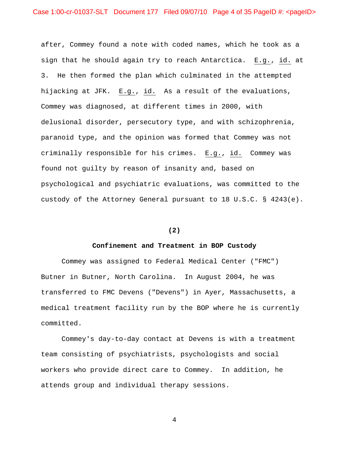after, Commey found a note with coded names, which he took as a sign that he should again try to reach Antarctica. E.g., id. at 3. He then formed the plan which culminated in the attempted hijacking at JFK. E.g., id. As a result of the evaluations, Commey was diagnosed, at different times in 2000, with delusional disorder, persecutory type, and with schizophrenia, paranoid type, and the opinion was formed that Commey was not criminally responsible for his crimes. E.g., id. Commey was found not guilty by reason of insanity and, based on psychological and psychiatric evaluations, was committed to the custody of the Attorney General pursuant to 18 U.S.C. § 4243(e).

#### **(2)**

#### **Confinement and Treatment in BOP Custody**

 Commey was assigned to Federal Medical Center ("FMC") Butner in Butner, North Carolina. In August 2004, he was transferred to FMC Devens ("Devens") in Ayer, Massachusetts, a medical treatment facility run by the BOP where he is currently committed.

Commey's day-to-day contact at Devens is with a treatment team consisting of psychiatrists, psychologists and social workers who provide direct care to Commey. In addition, he attends group and individual therapy sessions.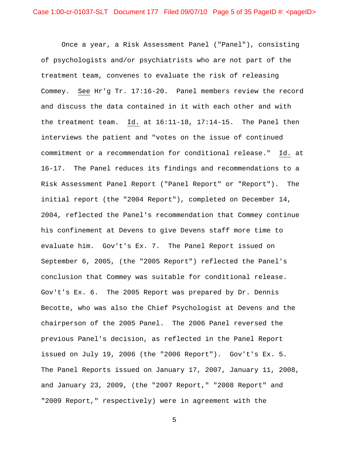Once a year, a Risk Assessment Panel ("Panel"), consisting of psychologists and/or psychiatrists who are not part of the treatment team, convenes to evaluate the risk of releasing Commey. See Hr'g Tr. 17:16-20. Panel members review the record and discuss the data contained in it with each other and with the treatment team. Id. at 16:11-18, 17:14-15. The Panel then interviews the patient and "votes on the issue of continued commitment or a recommendation for conditional release." Id. at 16-17. The Panel reduces its findings and recommendations to a Risk Assessment Panel Report ("Panel Report" or "Report"). The initial report (the "2004 Report"), completed on December 14, 2004, reflected the Panel's recommendation that Commey continue his confinement at Devens to give Devens staff more time to evaluate him. Gov't's Ex. 7. The Panel Report issued on September 6, 2005, (the "2005 Report") reflected the Panel's conclusion that Commey was suitable for conditional release. Gov't's Ex. 6. The 2005 Report was prepared by Dr. Dennis Becotte, who was also the Chief Psychologist at Devens and the chairperson of the 2005 Panel. The 2006 Panel reversed the previous Panel's decision, as reflected in the Panel Report issued on July 19, 2006 (the "2006 Report"). Gov't's Ex. 5. The Panel Reports issued on January 17, 2007, January 11, 2008, and January 23, 2009, (the "2007 Report," "2008 Report" and "2009 Report," respectively) were in agreement with the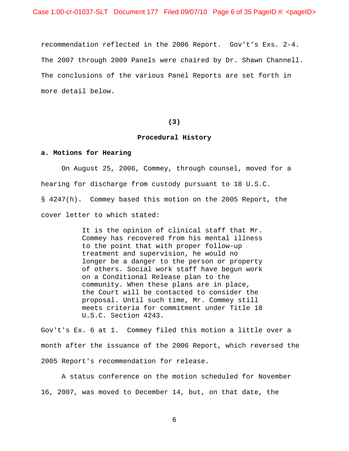recommendation reflected in the 2006 Report. Gov't's Exs. 2-4. The 2007 through 2009 Panels were chaired by Dr. Shawn Channell. The conclusions of the various Panel Reports are set forth in more detail below.

#### **(3)**

### **Procedural History**

#### **a. Motions for Hearing**

On August 25, 2006, Commey, through counsel, moved for a hearing for discharge from custody pursuant to 18 U.S.C. § 4247(h). Commey based this motion on the 2005 Report, the cover letter to which stated:

> It is the opinion of clinical staff that Mr. Commey has recovered from his mental illness to the point that with proper follow-up treatment and supervision, he would no longer be a danger to the person or property of others. Social work staff have begun work on a Conditional Release plan to the community. When these plans are in place, the Court will be contacted to consider the proposal. Until such time, Mr. Commey still meets criteria for commitment under Title 18 U.S.C. Section 4243.

Gov't's Ex. 6 at 1. Commey filed this motion a little over a month after the issuance of the 2006 Report, which reversed the 2005 Report's recommendation for release.

A status conference on the motion scheduled for November 16, 2007, was moved to December 14, but, on that date, the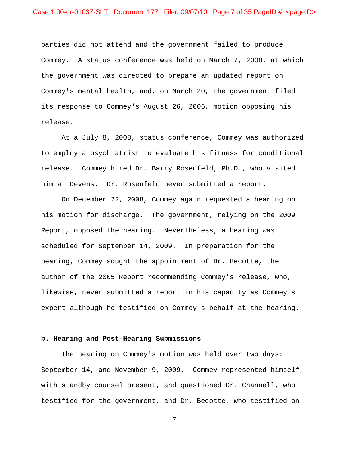parties did not attend and the government failed to produce Commey. A status conference was held on March 7, 2008, at which the government was directed to prepare an updated report on Commey's mental health, and, on March 20, the government filed its response to Commey's August 26, 2006, motion opposing his release.

 At a July 8, 2008, status conference, Commey was authorized to employ a psychiatrist to evaluate his fitness for conditional release. Commey hired Dr. Barry Rosenfeld, Ph.D., who visited him at Devens. Dr. Rosenfeld never submitted a report.

 On December 22, 2008, Commey again requested a hearing on his motion for discharge. The government, relying on the 2009 Report, opposed the hearing. Nevertheless, a hearing was scheduled for September 14, 2009. In preparation for the hearing, Commey sought the appointment of Dr. Becotte, the author of the 2005 Report recommending Commey's release, who, likewise, never submitted a report in his capacity as Commey's expert although he testified on Commey's behalf at the hearing.

### **b. Hearing and Post-Hearing Submissions**

 The hearing on Commey's motion was held over two days: September 14, and November 9, 2009. Commey represented himself, with standby counsel present, and questioned Dr. Channell, who testified for the government, and Dr. Becotte, who testified on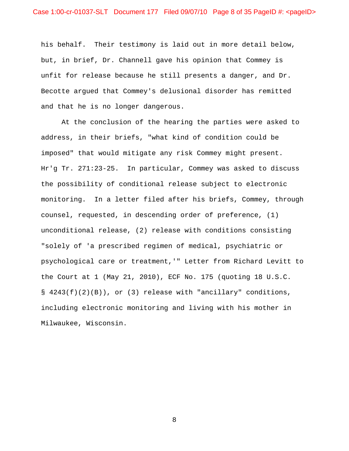his behalf. Their testimony is laid out in more detail below, but, in brief, Dr. Channell gave his opinion that Commey is unfit for release because he still presents a danger, and Dr. Becotte argued that Commey's delusional disorder has remitted and that he is no longer dangerous.

At the conclusion of the hearing the parties were asked to address, in their briefs, "what kind of condition could be imposed" that would mitigate any risk Commey might present. Hr'g Tr. 271:23-25. In particular, Commey was asked to discuss the possibility of conditional release subject to electronic monitoring. In a letter filed after his briefs, Commey, through counsel, requested, in descending order of preference, (1) unconditional release, (2) release with conditions consisting "solely of 'a prescribed regimen of medical, psychiatric or psychological care or treatment,'" Letter from Richard Levitt to the Court at 1 (May 21, 2010), ECF No. 175 (quoting 18 U.S.C. § 4243(f)(2)(B)), or (3) release with "ancillary" conditions, including electronic monitoring and living with his mother in Milwaukee, Wisconsin.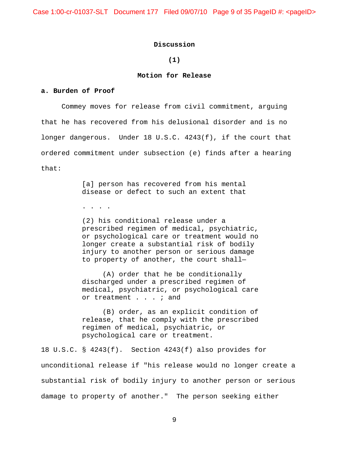Case 1:00-cr-01037-SLT Document 177 Filed 09/07/10 Page 9 of 35 PageID #: <pageID>

### **Discussion**

## **(1)**

## **Motion for Release**

### **a. Burden of Proof**

 Commey moves for release from civil commitment, arguing that he has recovered from his delusional disorder and is no longer dangerous. Under 18 U.S.C. 4243(f), if the court that ordered commitment under subsection (e) finds after a hearing that:

> [a] person has recovered from his mental disease or defect to such an extent that

. . . .

(2) his conditional release under a prescribed regimen of medical, psychiatric, or psychological care or treatment would no longer create a substantial risk of bodily injury to another person or serious damage to property of another, the court shall—

(A) order that he be conditionally discharged under a prescribed regimen of medical, psychiatric, or psychological care or treatment . . . ; and

(B) order, as an explicit condition of release, that he comply with the prescribed regimen of medical, psychiatric, or psychological care or treatment.

18 U.S.C. § 4243(f). Section 4243(f) also provides for unconditional release if "his release would no longer create a substantial risk of bodily injury to another person or serious damage to property of another." The person seeking either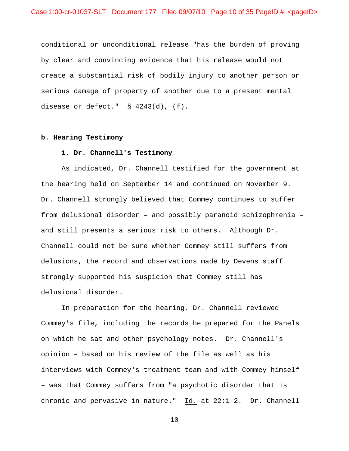conditional or unconditional release "has the burden of proving by clear and convincing evidence that his release would not create a substantial risk of bodily injury to another person or serious damage of property of another due to a present mental disease or defect." § 4243(d), (f).

## **b. Hearing Testimony**

#### **i. Dr. Channell's Testimony**

 As indicated, Dr. Channell testified for the government at the hearing held on September 14 and continued on November 9. Dr. Channell strongly believed that Commey continues to suffer from delusional disorder – and possibly paranoid schizophrenia – and still presents a serious risk to others. Although Dr. Channell could not be sure whether Commey still suffers from delusions, the record and observations made by Devens staff strongly supported his suspicion that Commey still has delusional disorder.

In preparation for the hearing, Dr. Channell reviewed Commey's file, including the records he prepared for the Panels on which he sat and other psychology notes. Dr. Channell's opinion – based on his review of the file as well as his interviews with Commey's treatment team and with Commey himself – was that Commey suffers from "a psychotic disorder that is chronic and pervasive in nature." Id. at 22:1-2. Dr. Channell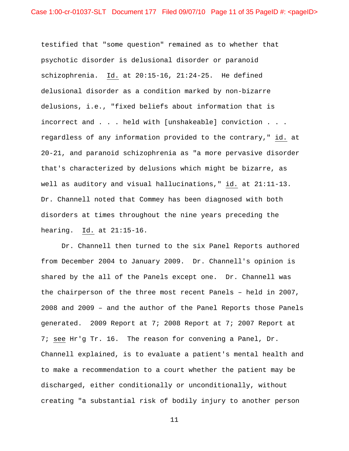testified that "some question" remained as to whether that psychotic disorder is delusional disorder or paranoid schizophrenia. Id. at 20:15-16, 21:24-25. He defined delusional disorder as a condition marked by non-bizarre delusions, i.e., "fixed beliefs about information that is incorrect and . . . held with [unshakeable] conviction . . . regardless of any information provided to the contrary," id. at 20-21, and paranoid schizophrenia as "a more pervasive disorder that's characterized by delusions which might be bizarre, as well as auditory and visual hallucinations," id. at 21:11-13. Dr. Channell noted that Commey has been diagnosed with both disorders at times throughout the nine years preceding the hearing. Id. at 21:15-16.

Dr. Channell then turned to the six Panel Reports authored from December 2004 to January 2009. Dr. Channell's opinion is shared by the all of the Panels except one. Dr. Channell was the chairperson of the three most recent Panels – held in 2007, 2008 and 2009 – and the author of the Panel Reports those Panels generated. 2009 Report at 7; 2008 Report at 7; 2007 Report at 7; see Hr'g Tr. 16. The reason for convening a Panel, Dr. Channell explained, is to evaluate a patient's mental health and to make a recommendation to a court whether the patient may be discharged, either conditionally or unconditionally, without creating "a substantial risk of bodily injury to another person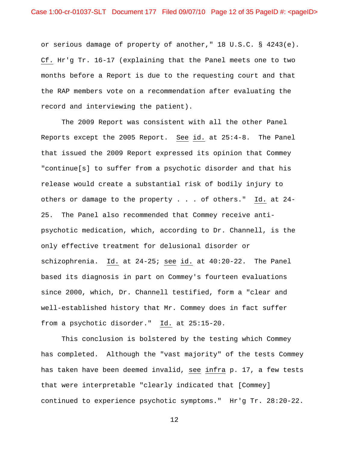or serious damage of property of another," 18 U.S.C. § 4243(e). Cf. Hr'g Tr. 16-17 (explaining that the Panel meets one to two months before a Report is due to the requesting court and that the RAP members vote on a recommendation after evaluating the record and interviewing the patient).

The 2009 Report was consistent with all the other Panel Reports except the 2005 Report. See id. at 25:4-8. The Panel that issued the 2009 Report expressed its opinion that Commey "continue[s] to suffer from a psychotic disorder and that his release would create a substantial risk of bodily injury to others or damage to the property . . . of others." Id. at 24- 25. The Panel also recommended that Commey receive antipsychotic medication, which, according to Dr. Channell, is the only effective treatment for delusional disorder or schizophrenia. Id. at 24-25; see id. at 40:20-22. The Panel based its diagnosis in part on Commey's fourteen evaluations since 2000, which, Dr. Channell testified, form a "clear and well-established history that Mr. Commey does in fact suffer from a psychotic disorder." Id. at 25:15-20.

This conclusion is bolstered by the testing which Commey has completed. Although the "vast majority" of the tests Commey has taken have been deemed invalid, see infra p. 17, a few tests that were interpretable "clearly indicated that [Commey] continued to experience psychotic symptoms." Hr'g Tr. 28:20-22.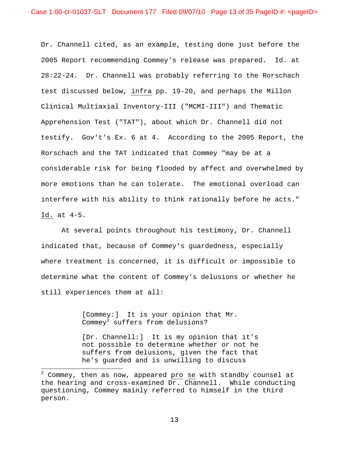Dr. Channell cited, as an example, testing done just before the 2005 Report recommending Commey's release was prepared. Id. at 28:22-24. Dr. Channell was probably referring to the Rorschach test discussed below, infra pp. 19-20, and perhaps the Millon Clinical Multiaxial Inventory-III ("MCMI-III") and Thematic Apprehension Test ("TAT"), about which Dr. Channell did not testify. Gov't's Ex. 6 at 4. According to the 2005 Report, the Rorschach and the TAT indicated that Commey "may be at a considerable risk for being flooded by affect and overwhelmed by more emotions than he can tolerate. The emotional overload can interfere with his ability to think rationally before he acts." Id. at 4-5.

At several points throughout his testimony, Dr. Channell indicated that, because of Commey's guardedness, especially where treatment is concerned, it is difficult or impossible to determine what the content of Commey's delusions or whether he still experiences them at all:

> [Commey:] It is your opinion that Mr. Commey $^2$  suffers from delusions?

 $\overline{a}$ 

[Dr. Channell:] It is my opinion that it's not possible to determine whether or not he suffers from delusions, given the fact that he's guarded and is unwilling to discuss

 $^2$  Commey, then as now, appeared  $\underline{\text{pro}}$  se with standby counsel at the hearing and cross-examined Dr. Channell. While conducting questioning, Commey mainly referred to himself in the third person.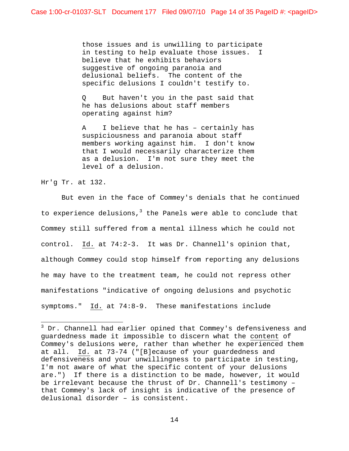those issues and is unwilling to participate in testing to help evaluate those issues. I believe that he exhibits behaviors suggestive of ongoing paranoia and delusional beliefs. The content of the specific delusions I couldn't testify to.

Q But haven't you in the past said that he has delusions about staff members operating against him?

A I believe that he has – certainly has suspiciousness and paranoia about staff members working against him. I don't know that I would necessarily characterize them as a delusion. I'm not sure they meet the level of a delusion.

Hr'g Tr. at 132.

 $\overline{a}$ 

But even in the face of Commey's denials that he continued to experience delusions,<sup>3</sup> the Panels were able to conclude that Commey still suffered from a mental illness which he could not control. Id. at 74:2-3. It was Dr. Channell's opinion that, although Commey could stop himself from reporting any delusions he may have to the treatment team, he could not repress other manifestations "indicative of ongoing delusions and psychotic symptoms." Id. at 74:8-9. These manifestations include

 $^3$  Dr. Channell had earlier opined that Commey's defensiveness and guardedness made it impossible to discern what the content of Commey's delusions were, rather than whether he experienced them at all. Id. at 73-74 ("[B]ecause of your guardedness and defensiveness and your unwillingness to participate in testing, I'm not aware of what the specific content of your delusions are.") If there is a distinction to be made, however, it would be irrelevant because the thrust of Dr. Channell's testimony – that Commey's lack of insight is indicative of the presence of delusional disorder – is consistent.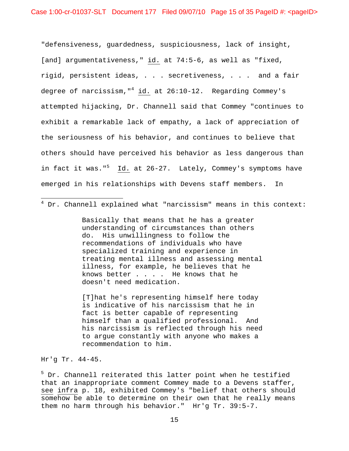"defensiveness, guardedness, suspiciousness, lack of insight, [and] argumentativeness," id. at 74:5-6, as well as "fixed, rigid, persistent ideas, . . . secretiveness, . . . and a fair degree of narcissism,"<sup>4</sup> id. at 26:10-12. Regarding Commey's attempted hijacking, Dr. Channell said that Commey "continues to exhibit a remarkable lack of empathy, a lack of appreciation of the seriousness of his behavior, and continues to believe that others should have perceived his behavior as less dangerous than in fact it was."<sup>5</sup> Id. at 26-27. Lately, Commey's symptoms have emerged in his relationships with Devens staff members. In

Basically that means that he has a greater understanding of circumstances than others do. His unwillingness to follow the recommendations of individuals who have specialized training and experience in treating mental illness and assessing mental illness, for example, he believes that he knows better . . . . He knows that he doesn't need medication.

[T]hat he's representing himself here today is indicative of his narcissism that he in fact is better capable of representing himself than a qualified professional. And his narcissism is reflected through his need to argue constantly with anyone who makes a recommendation to him.

Hr'g Tr. 44-45.

 $\overline{a}$ 

<sup>5</sup> Dr. Channell reiterated this latter point when he testified that an inappropriate comment Commey made to a Devens staffer, see infra p. 18, exhibited Commey's "belief that others should somehow be able to determine on their own that he really means them no harm through his behavior." Hr'g Tr. 39:5-7.

 $^4$  Dr. Channell explained what "narcissism" means in this context: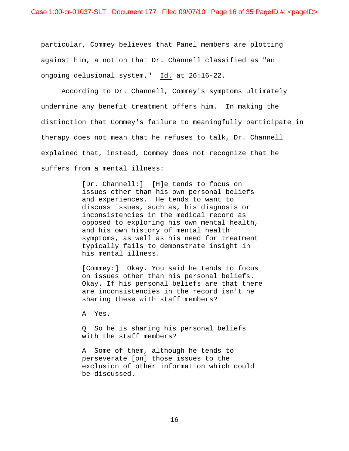particular, Commey believes that Panel members are plotting against him, a notion that Dr. Channell classified as "an ongoing delusional system." Id. at 26:16-22.

According to Dr. Channell, Commey's symptoms ultimately undermine any benefit treatment offers him. In making the distinction that Commey's failure to meaningfully participate in therapy does not mean that he refuses to talk, Dr. Channell explained that, instead, Commey does not recognize that he suffers from a mental illness:

> [Dr. Channell:] [H]e tends to focus on issues other than his own personal beliefs and experiences. He tends to want to discuss issues, such as, his diagnosis or inconsistencies in the medical record as opposed to exploring his own mental health, and his own history of mental health symptoms, as well as his need for treatment typically fails to demonstrate insight in his mental illness.

[Commey:] Okay. You said he tends to focus on issues other than his personal beliefs. Okay. If his personal beliefs are that there are inconsistencies in the record isn't he sharing these with staff members?

A Yes.

Q So he is sharing his personal beliefs with the staff members?

A Some of them, although he tends to perseverate [on] those issues to the exclusion of other information which could be discussed.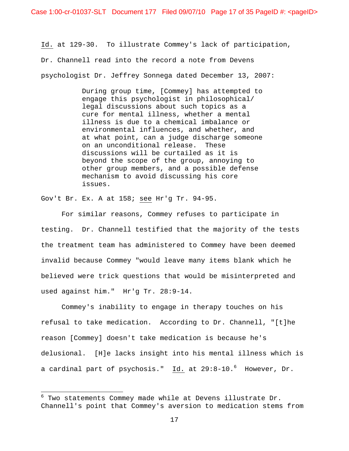Case 1:00-cr-01037-SLT Document 177 Filed 09/07/10 Page 17 of 35 PageID #: <pageID>

Id. at 129-30. To illustrate Commey's lack of participation, Dr. Channell read into the record a note from Devens psychologist Dr. Jeffrey Sonnega dated December 13, 2007:

> During group time, [Commey] has attempted to engage this psychologist in philosophical/ legal discussions about such topics as a cure for mental illness, whether a mental illness is due to a chemical imbalance or environmental influences, and whether, and at what point, can a judge discharge someone on an unconditional release. These discussions will be curtailed as it is beyond the scope of the group, annoying to other group members, and a possible defense mechanism to avoid discussing his core issues.

Gov't Br. Ex. A at 158; see Hr'g Tr. 94-95.

 $\overline{a}$ 

For similar reasons, Commey refuses to participate in testing. Dr. Channell testified that the majority of the tests the treatment team has administered to Commey have been deemed invalid because Commey "would leave many items blank which he believed were trick questions that would be misinterpreted and used against him." Hr'g Tr. 28:9-14.

Commey's inability to engage in therapy touches on his refusal to take medication. According to Dr. Channell, "[t]he reason [Commey] doesn't take medication is because he's delusional. [H]e lacks insight into his mental illness which is a cardinal part of psychosis." Id. at 29:8-10.<sup>6</sup> However, Dr.

 $^6$  Two statements Commey made while at Devens illustrate Dr. Channell's point that Commey's aversion to medication stems from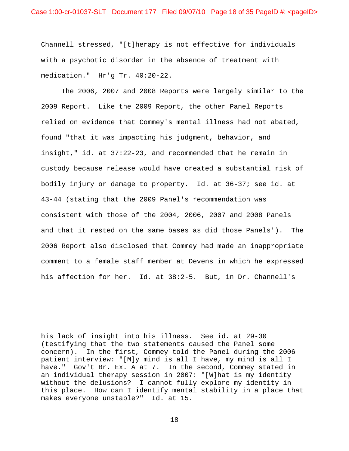Channell stressed, "[t]herapy is not effective for individuals with a psychotic disorder in the absence of treatment with medication." Hr'g Tr. 40:20-22.

 The 2006, 2007 and 2008 Reports were largely similar to the 2009 Report. Like the 2009 Report, the other Panel Reports relied on evidence that Commey's mental illness had not abated, found "that it was impacting his judgment, behavior, and insight," id. at 37:22-23, and recommended that he remain in custody because release would have created a substantial risk of bodily injury or damage to property. Id. at 36-37; see id. at 43-44 (stating that the 2009 Panel's recommendation was consistent with those of the 2004, 2006, 2007 and 2008 Panels and that it rested on the same bases as did those Panels'). The 2006 Report also disclosed that Commey had made an inappropriate comment to a female staff member at Devens in which he expressed his affection for her. Id. at 38:2-5. But, in Dr. Channell's

his lack of insight into his illness. See id. at 29-30 (testifying that the two statements caused the Panel some concern). In the first, Commey told the Panel during the 2006 patient interview: "[M]y mind is all I have, my mind is all I have." Gov't Br. Ex. A at 7. In the second, Commey stated in an individual therapy session in 2007: "[W]hat is my identity without the delusions? I cannot fully explore my identity in this place. How can I identify mental stability in a place that makes everyone unstable?" Id. at 15.

 $\overline{a}$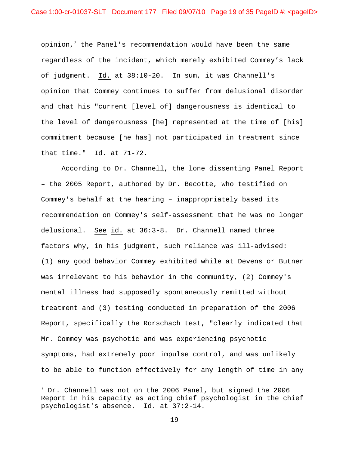opinion, $^7$  the Panel's recommendation would have been the same regardless of the incident, which merely exhibited Commey's lack of judgment. Id. at 38:10-20. In sum, it was Channell's opinion that Commey continues to suffer from delusional disorder and that his "current [level of] dangerousness is identical to the level of dangerousness [he] represented at the time of [his] commitment because [he has] not participated in treatment since that time." Id. at 71-72.

According to Dr. Channell, the lone dissenting Panel Report – the 2005 Report, authored by Dr. Becotte, who testified on Commey's behalf at the hearing – inappropriately based its recommendation on Commey's self-assessment that he was no longer delusional. See id. at 36:3-8. Dr. Channell named three factors why, in his judgment, such reliance was ill-advised: (1) any good behavior Commey exhibited while at Devens or Butner was irrelevant to his behavior in the community, (2) Commey's mental illness had supposedly spontaneously remitted without treatment and (3) testing conducted in preparation of the 2006 Report, specifically the Rorschach test, "clearly indicated that Mr. Commey was psychotic and was experiencing psychotic symptoms, had extremely poor impulse control, and was unlikely to be able to function effectively for any length of time in any

 $\overline{a}$ 

 $^7$  Dr. Channell was not on the 2006 Panel, but signed the 2006 Report in his capacity as acting chief psychologist in the chief psychologist's absence. Id. at 37:2-14.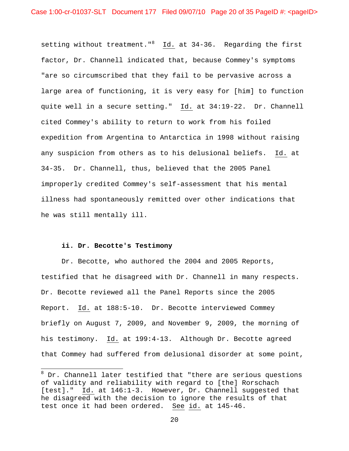setting without treatment."<sup>8</sup> Id. at 34-36. Regarding the first factor, Dr. Channell indicated that, because Commey's symptoms "are so circumscribed that they fail to be pervasive across a large area of functioning, it is very easy for [him] to function quite well in a secure setting." Id. at 34:19-22. Dr. Channell cited Commey's ability to return to work from his foiled expedition from Argentina to Antarctica in 1998 without raising any suspicion from others as to his delusional beliefs. Id. at 34-35. Dr. Channell, thus, believed that the 2005 Panel improperly credited Commey's self-assessment that his mental illness had spontaneously remitted over other indications that he was still mentally ill.

#### **ii. Dr. Becotte's Testimony**

 $\overline{a}$ 

Dr. Becotte, who authored the 2004 and 2005 Reports, testified that he disagreed with Dr. Channell in many respects. Dr. Becotte reviewed all the Panel Reports since the 2005 Report. Id. at 188:5-10. Dr. Becotte interviewed Commey briefly on August 7, 2009, and November 9, 2009, the morning of his testimony. Id. at 199:4-13. Although Dr. Becotte agreed that Commey had suffered from delusional disorder at some point,

<sup>&</sup>lt;sup>8</sup> Dr. Channell later testified that "there are serious questions of validity and reliability with regard to [the] Rorschach [test]." Id. at 146:1-3. However, Dr. Channell suggested that he disagreed with the decision to ignore the results of that test once it had been ordered. See id. at 145-46.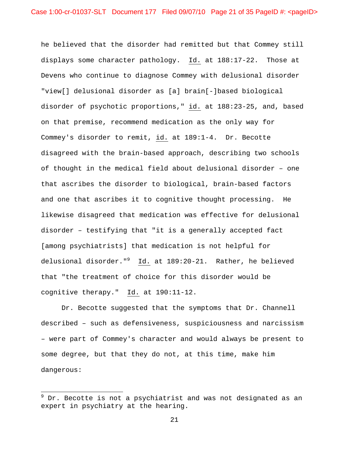he believed that the disorder had remitted but that Commey still displays some character pathology. Id. at 188:17-22. Those at Devens who continue to diagnose Commey with delusional disorder "view[] delusional disorder as [a] brain[-]based biological disorder of psychotic proportions," id. at 188:23-25, and, based on that premise, recommend medication as the only way for Commey's disorder to remit, id. at 189:1-4. Dr. Becotte disagreed with the brain-based approach, describing two schools of thought in the medical field about delusional disorder – one that ascribes the disorder to biological, brain-based factors and one that ascribes it to cognitive thought processing. He likewise disagreed that medication was effective for delusional disorder – testifying that "it is a generally accepted fact [among psychiatrists] that medication is not helpful for delusional disorder."<sup>9</sup> Id. at 189:20-21. Rather, he believed that "the treatment of choice for this disorder would be cognitive therapy." Id. at 190:11-12.

Dr. Becotte suggested that the symptoms that Dr. Channell described – such as defensiveness, suspiciousness and narcissism – were part of Commey's character and would always be present to some degree, but that they do not, at this time, make him dangerous:

 $\overline{a}$ 

 $^9$  Dr. Becotte is not a psychiatrist and was not designated as an expert in psychiatry at the hearing.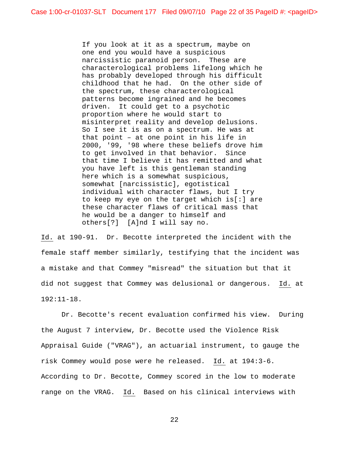If you look at it as a spectrum, maybe on one end you would have a suspicious narcissistic paranoid person. These are characterological problems lifelong which he has probably developed through his difficult childhood that he had. On the other side of the spectrum, these characterological patterns become ingrained and he becomes driven. It could get to a psychotic proportion where he would start to misinterpret reality and develop delusions. So I see it is as on a spectrum. He was at that point – at one point in his life in 2000, '99, '98 where these beliefs drove him to get involved in that behavior. Since that time I believe it has remitted and what you have left is this gentleman standing here which is a somewhat suspicious, somewhat [narcissistic], egotistical individual with character flaws, but I try to keep my eye on the target which is[:] are these character flaws of critical mass that he would be a danger to himself and others[?] [A]nd I will say no.

Id. at 190-91. Dr. Becotte interpreted the incident with the female staff member similarly, testifying that the incident was a mistake and that Commey "misread" the situation but that it did not suggest that Commey was delusional or dangerous. Id. at 192:11-18.

Dr. Becotte's recent evaluation confirmed his view. During the August 7 interview, Dr. Becotte used the Violence Risk Appraisal Guide ("VRAG"), an actuarial instrument, to gauge the risk Commey would pose were he released. Id. at 194:3-6. According to Dr. Becotte, Commey scored in the low to moderate range on the VRAG. Id. Based on his clinical interviews with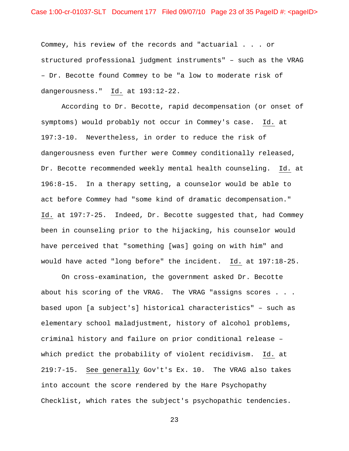Commey, his review of the records and "actuarial . . . or structured professional judgment instruments" – such as the VRAG – Dr. Becotte found Commey to be "a low to moderate risk of dangerousness." Id. at 193:12-22.

According to Dr. Becotte, rapid decompensation (or onset of symptoms) would probably not occur in Commey's case. Id. at 197:3-10. Nevertheless, in order to reduce the risk of dangerousness even further were Commey conditionally released, Dr. Becotte recommended weekly mental health counseling. Id. at 196:8-15. In a therapy setting, a counselor would be able to act before Commey had "some kind of dramatic decompensation." Id. at 197:7-25. Indeed, Dr. Becotte suggested that, had Commey been in counseling prior to the hijacking, his counselor would have perceived that "something [was] going on with him" and would have acted "long before" the incident. Id. at 197:18-25.

On cross-examination, the government asked Dr. Becotte about his scoring of the VRAG. The VRAG "assigns scores . . . based upon [a subject's] historical characteristics" – such as elementary school maladjustment, history of alcohol problems, criminal history and failure on prior conditional release – which predict the probability of violent recidivism. Id. at 219:7-15. See generally Gov't's Ex. 10. The VRAG also takes into account the score rendered by the Hare Psychopathy Checklist, which rates the subject's psychopathic tendencies.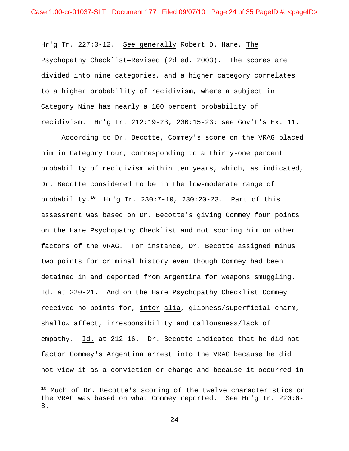Hr'g Tr. 227:3-12. See generally Robert D. Hare, The Psychopathy Checklist—Revised (2d ed. 2003). The scores are divided into nine categories, and a higher category correlates to a higher probability of recidivism, where a subject in Category Nine has nearly a 100 percent probability of recidivism. Hr'g Tr. 212:19-23, 230:15-23; see Gov't's Ex. 11.

According to Dr. Becotte, Commey's score on the VRAG placed him in Category Four, corresponding to a thirty-one percent probability of recidivism within ten years, which, as indicated, Dr. Becotte considered to be in the low-moderate range of probability.<sup>10</sup> Hr'g Tr. 230:7-10, 230:20-23. Part of this assessment was based on Dr. Becotte's giving Commey four points on the Hare Psychopathy Checklist and not scoring him on other factors of the VRAG. For instance, Dr. Becotte assigned minus two points for criminal history even though Commey had been detained in and deported from Argentina for weapons smuggling. Id. at 220-21. And on the Hare Psychopathy Checklist Commey received no points for, inter alia, glibness/superficial charm, shallow affect, irresponsibility and callousness/lack of empathy. Id. at 212-16. Dr. Becotte indicated that he did not factor Commey's Argentina arrest into the VRAG because he did not view it as a conviction or charge and because it occurred in

 $\overline{a}$ 

 $10$  Much of Dr. Becotte's scoring of the twelve characteristics on the VRAG was based on what Commey reported. See Hr'g Tr. 220:6- 8.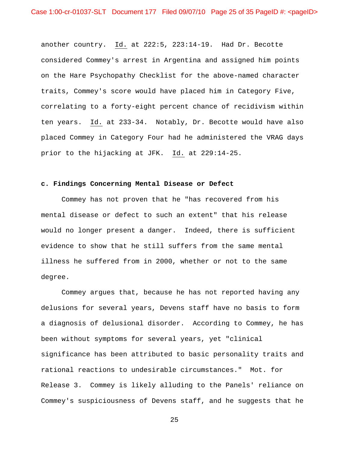another country. Id. at 222:5, 223:14-19. Had Dr. Becotte considered Commey's arrest in Argentina and assigned him points on the Hare Psychopathy Checklist for the above-named character traits, Commey's score would have placed him in Category Five, correlating to a forty-eight percent chance of recidivism within ten years. Id. at 233-34. Notably, Dr. Becotte would have also placed Commey in Category Four had he administered the VRAG days prior to the hijacking at JFK. Id. at 229:14-25.

### **c. Findings Concerning Mental Disease or Defect**

 Commey has not proven that he "has recovered from his mental disease or defect to such an extent" that his release would no longer present a danger. Indeed, there is sufficient evidence to show that he still suffers from the same mental illness he suffered from in 2000, whether or not to the same degree.

 Commey argues that, because he has not reported having any delusions for several years, Devens staff have no basis to form a diagnosis of delusional disorder. According to Commey, he has been without symptoms for several years, yet "clinical significance has been attributed to basic personality traits and rational reactions to undesirable circumstances." Mot. for Release 3. Commey is likely alluding to the Panels' reliance on Commey's suspiciousness of Devens staff, and he suggests that he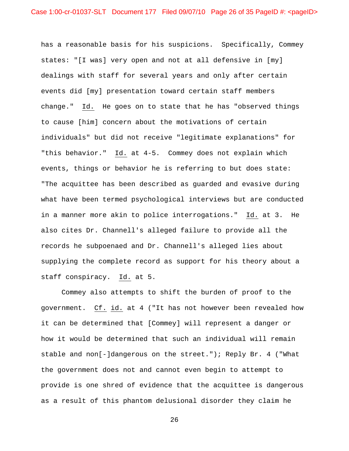has a reasonable basis for his suspicions. Specifically, Commey states: "[I was] very open and not at all defensive in [my] dealings with staff for several years and only after certain events did [my] presentation toward certain staff members change." Id. He goes on to state that he has "observed things to cause [him] concern about the motivations of certain individuals" but did not receive "legitimate explanations" for "this behavior." Id. at 4-5. Commey does not explain which events, things or behavior he is referring to but does state: "The acquittee has been described as guarded and evasive during what have been termed psychological interviews but are conducted in a manner more akin to police interrogations." Id. at 3. He also cites Dr. Channell's alleged failure to provide all the records he subpoenaed and Dr. Channell's alleged lies about supplying the complete record as support for his theory about a staff conspiracy. Id. at 5.

 Commey also attempts to shift the burden of proof to the government. Cf. id. at 4 ("It has not however been revealed how it can be determined that [Commey] will represent a danger or how it would be determined that such an individual will remain stable and non[-]dangerous on the street."); Reply Br. 4 ("What the government does not and cannot even begin to attempt to provide is one shred of evidence that the acquittee is dangerous as a result of this phantom delusional disorder they claim he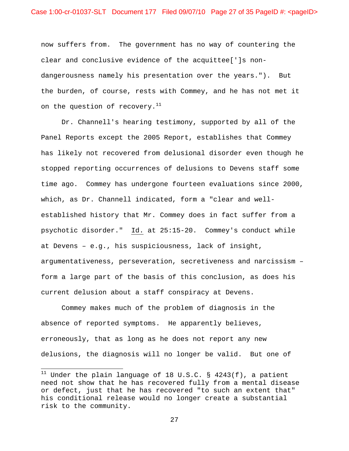now suffers from. The government has no way of countering the clear and conclusive evidence of the acquittee[']s nondangerousness namely his presentation over the years."). But the burden, of course, rests with Commey, and he has not met it on the question of recovery. $11$ 

Dr. Channell's hearing testimony, supported by all of the Panel Reports except the 2005 Report, establishes that Commey has likely not recovered from delusional disorder even though he stopped reporting occurrences of delusions to Devens staff some time ago. Commey has undergone fourteen evaluations since 2000, which, as Dr. Channell indicated, form a "clear and wellestablished history that Mr. Commey does in fact suffer from a psychotic disorder." Id. at 25:15-20. Commey's conduct while at Devens – e.g., his suspiciousness, lack of insight, argumentativeness, perseveration, secretiveness and narcissism – form a large part of the basis of this conclusion, as does his current delusion about a staff conspiracy at Devens.

Commey makes much of the problem of diagnosis in the absence of reported symptoms. He apparently believes, erroneously, that as long as he does not report any new delusions, the diagnosis will no longer be valid. But one of

 $\overline{a}$ 

 $^{11}$  Under the plain language of 18 U.S.C. § 4243(f), a patient need not show that he has recovered fully from a mental disease or defect, just that he has recovered "to such an extent that" his conditional release would no longer create a substantial risk to the community.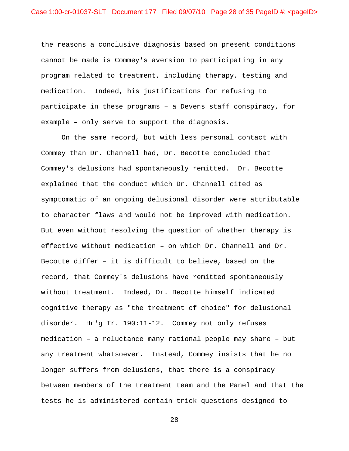the reasons a conclusive diagnosis based on present conditions cannot be made is Commey's aversion to participating in any program related to treatment, including therapy, testing and medication. Indeed, his justifications for refusing to participate in these programs – a Devens staff conspiracy, for example – only serve to support the diagnosis.

On the same record, but with less personal contact with Commey than Dr. Channell had, Dr. Becotte concluded that Commey's delusions had spontaneously remitted. Dr. Becotte explained that the conduct which Dr. Channell cited as symptomatic of an ongoing delusional disorder were attributable to character flaws and would not be improved with medication. But even without resolving the question of whether therapy is effective without medication – on which Dr. Channell and Dr. Becotte differ – it is difficult to believe, based on the record, that Commey's delusions have remitted spontaneously without treatment. Indeed, Dr. Becotte himself indicated cognitive therapy as "the treatment of choice" for delusional disorder. Hr'g Tr. 190:11-12. Commey not only refuses medication – a reluctance many rational people may share – but any treatment whatsoever. Instead, Commey insists that he no longer suffers from delusions, that there is a conspiracy between members of the treatment team and the Panel and that the tests he is administered contain trick questions designed to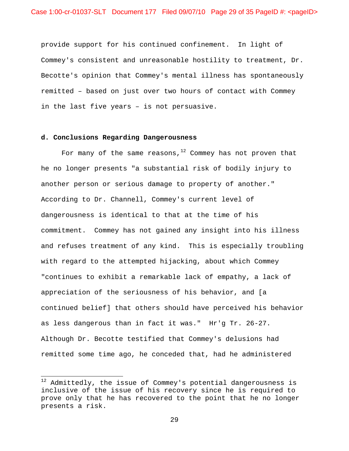provide support for his continued confinement. In light of Commey's consistent and unreasonable hostility to treatment, Dr. Becotte's opinion that Commey's mental illness has spontaneously remitted – based on just over two hours of contact with Commey in the last five years – is not persuasive.

## **d. Conclusions Regarding Dangerousness**

 $\overline{a}$ 

For many of the same reasons, $12$  Commey has not proven that he no longer presents "a substantial risk of bodily injury to another person or serious damage to property of another." According to Dr. Channell, Commey's current level of dangerousness is identical to that at the time of his commitment. Commey has not gained any insight into his illness and refuses treatment of any kind. This is especially troubling with regard to the attempted hijacking, about which Commey "continues to exhibit a remarkable lack of empathy, a lack of appreciation of the seriousness of his behavior, and [a continued belief] that others should have perceived his behavior as less dangerous than in fact it was." Hr'g Tr. 26-27. Although Dr. Becotte testified that Commey's delusions had remitted some time ago, he conceded that, had he administered

 $12$  Admittedly, the issue of Commey's potential dangerousness is inclusive of the issue of his recovery since he is required to prove only that he has recovered to the point that he no longer presents a risk.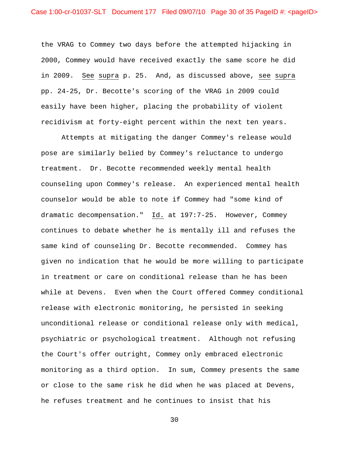the VRAG to Commey two days before the attempted hijacking in 2000, Commey would have received exactly the same score he did in 2009. See supra p. 25. And, as discussed above, see supra pp. 24-25, Dr. Becotte's scoring of the VRAG in 2009 could easily have been higher, placing the probability of violent recidivism at forty-eight percent within the next ten years.

Attempts at mitigating the danger Commey's release would pose are similarly belied by Commey's reluctance to undergo treatment. Dr. Becotte recommended weekly mental health counseling upon Commey's release. An experienced mental health counselor would be able to note if Commey had "some kind of dramatic decompensation." Id. at 197:7-25. However, Commey continues to debate whether he is mentally ill and refuses the same kind of counseling Dr. Becotte recommended. Commey has given no indication that he would be more willing to participate in treatment or care on conditional release than he has been while at Devens. Even when the Court offered Commey conditional release with electronic monitoring, he persisted in seeking unconditional release or conditional release only with medical, psychiatric or psychological treatment. Although not refusing the Court's offer outright, Commey only embraced electronic monitoring as a third option. In sum, Commey presents the same or close to the same risk he did when he was placed at Devens, he refuses treatment and he continues to insist that his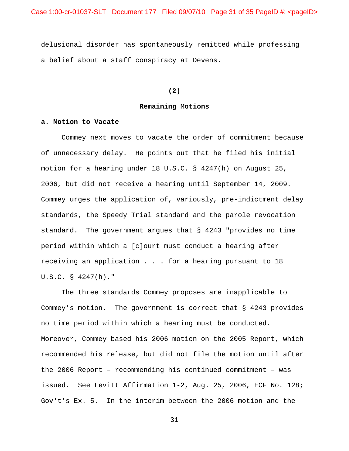delusional disorder has spontaneously remitted while professing a belief about a staff conspiracy at Devens.

**(2)** 

#### **Remaining Motions**

#### **a. Motion to Vacate**

 Commey next moves to vacate the order of commitment because of unnecessary delay. He points out that he filed his initial motion for a hearing under 18 U.S.C. § 4247(h) on August 25, 2006, but did not receive a hearing until September 14, 2009. Commey urges the application of, variously, pre-indictment delay standards, the Speedy Trial standard and the parole revocation standard. The government argues that § 4243 "provides no time period within which a [c]ourt must conduct a hearing after receiving an application . . . for a hearing pursuant to 18 U.S.C. § 4247(h)."

 The three standards Commey proposes are inapplicable to Commey's motion. The government is correct that § 4243 provides no time period within which a hearing must be conducted. Moreover, Commey based his 2006 motion on the 2005 Report, which recommended his release, but did not file the motion until after the 2006 Report – recommending his continued commitment – was issued. See Levitt Affirmation 1-2, Aug. 25, 2006, ECF No. 128; Gov't's Ex. 5. In the interim between the 2006 motion and the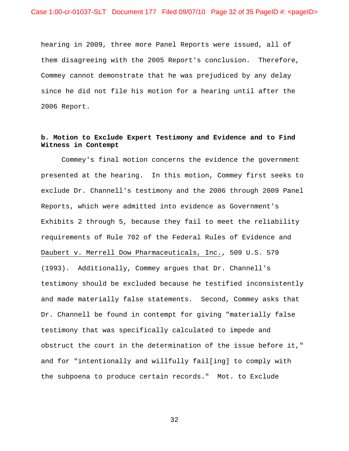hearing in 2009, three more Panel Reports were issued, all of them disagreeing with the 2005 Report's conclusion. Therefore, Commey cannot demonstrate that he was prejudiced by any delay since he did not file his motion for a hearing until after the 2006 Report.

# **b. Motion to Exclude Expert Testimony and Evidence and to Find Witness in Contempt**

 Commey's final motion concerns the evidence the government presented at the hearing. In this motion, Commey first seeks to exclude Dr. Channell's testimony and the 2006 through 2009 Panel Reports, which were admitted into evidence as Government's Exhibits 2 through 5, because they fail to meet the reliability requirements of Rule 702 of the Federal Rules of Evidence and Daubert v. Merrell Dow Pharmaceuticals, Inc., 509 U.S. 579 (1993). Additionally, Commey argues that Dr. Channell's testimony should be excluded because he testified inconsistently and made materially false statements. Second, Commey asks that Dr. Channell be found in contempt for giving "materially false testimony that was specifically calculated to impede and obstruct the court in the determination of the issue before it," and for "intentionally and willfully fail[ing] to comply with the subpoena to produce certain records." Mot. to Exclude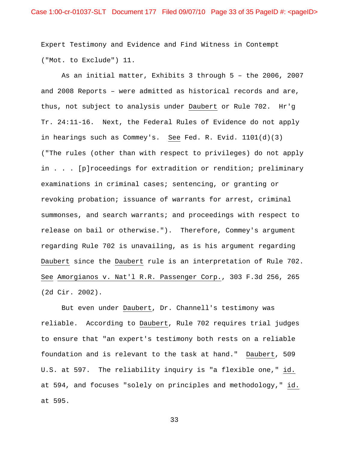Expert Testimony and Evidence and Find Witness in Contempt ("Mot. to Exclude") 11.

 As an initial matter, Exhibits 3 through 5 – the 2006, 2007 and 2008 Reports – were admitted as historical records and are, thus, not subject to analysis under Daubert or Rule 702. Hr'g Tr. 24:11-16. Next, the Federal Rules of Evidence do not apply in hearings such as Commey's. See Fed. R. Evid. 1101(d)(3) ("The rules (other than with respect to privileges) do not apply in . . . [p]roceedings for extradition or rendition; preliminary examinations in criminal cases; sentencing, or granting or revoking probation; issuance of warrants for arrest, criminal summonses, and search warrants; and proceedings with respect to release on bail or otherwise."). Therefore, Commey's argument regarding Rule 702 is unavailing, as is his argument regarding Daubert since the Daubert rule is an interpretation of Rule 702. See Amorgianos v. Nat'l R.R. Passenger Corp., 303 F.3d 256, 265 (2d Cir. 2002).

 But even under Daubert, Dr. Channell's testimony was reliable. According to Daubert, Rule 702 requires trial judges to ensure that "an expert's testimony both rests on a reliable foundation and is relevant to the task at hand." Daubert, 509 U.S. at 597. The reliability inquiry is "a flexible one," id. at 594, and focuses "solely on principles and methodology," id. at 595.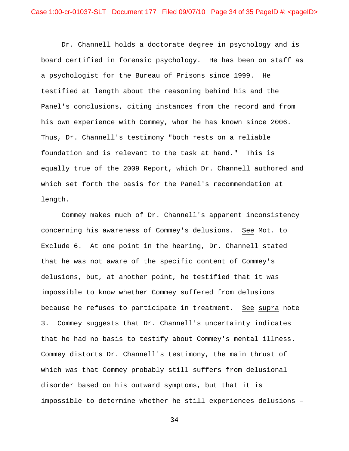Dr. Channell holds a doctorate degree in psychology and is board certified in forensic psychology. He has been on staff as a psychologist for the Bureau of Prisons since 1999. He testified at length about the reasoning behind his and the Panel's conclusions, citing instances from the record and from his own experience with Commey, whom he has known since 2006. Thus, Dr. Channell's testimony "both rests on a reliable foundation and is relevant to the task at hand." This is equally true of the 2009 Report, which Dr. Channell authored and which set forth the basis for the Panel's recommendation at length.

Commey makes much of Dr. Channell's apparent inconsistency concerning his awareness of Commey's delusions. See Mot. to Exclude 6. At one point in the hearing, Dr. Channell stated that he was not aware of the specific content of Commey's delusions, but, at another point, he testified that it was impossible to know whether Commey suffered from delusions because he refuses to participate in treatment. See supra note 3. Commey suggests that Dr. Channell's uncertainty indicates that he had no basis to testify about Commey's mental illness. Commey distorts Dr. Channell's testimony, the main thrust of which was that Commey probably still suffers from delusional disorder based on his outward symptoms, but that it is impossible to determine whether he still experiences delusions –